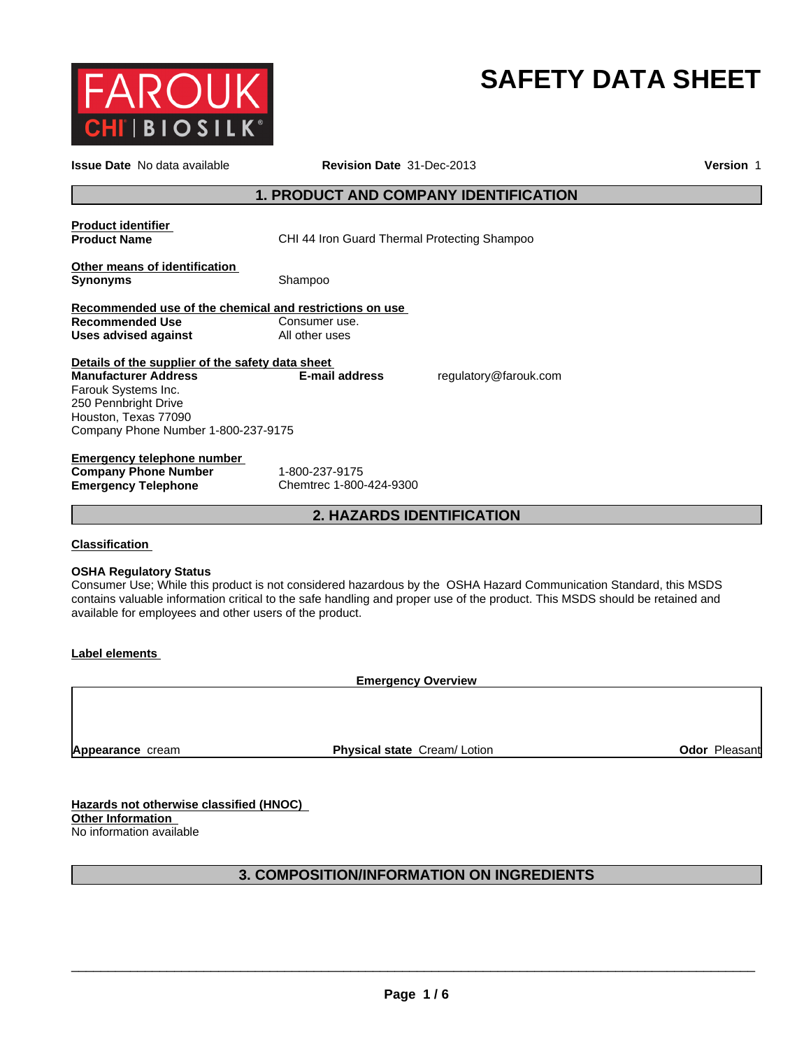

# **SAFETY DATA SHEET**

| <b>Issue Date</b> No data available                                                                                                                                                           | <b>Version 1</b>                                                                                                                                                                                                                                 |  |  |  |
|-----------------------------------------------------------------------------------------------------------------------------------------------------------------------------------------------|--------------------------------------------------------------------------------------------------------------------------------------------------------------------------------------------------------------------------------------------------|--|--|--|
|                                                                                                                                                                                               | <b>1. PRODUCT AND COMPANY IDENTIFICATION</b>                                                                                                                                                                                                     |  |  |  |
| <b>Product identifier</b><br><b>Product Name</b>                                                                                                                                              | CHI 44 Iron Guard Thermal Protecting Shampoo                                                                                                                                                                                                     |  |  |  |
| Other means of identification<br><b>Synonyms</b>                                                                                                                                              | Shampoo                                                                                                                                                                                                                                          |  |  |  |
| Recommended use of the chemical and restrictions on use<br><b>Recommended Use</b><br><b>Uses advised against</b>                                                                              | Consumer use.<br>All other uses                                                                                                                                                                                                                  |  |  |  |
| Details of the supplier of the safety data sheet<br><b>Manufacturer Address</b><br>Farouk Systems Inc.<br>250 Pennbright Drive<br>Houston, Texas 77090<br>Company Phone Number 1-800-237-9175 | regulatory@farouk.com<br><b>E-mail address</b>                                                                                                                                                                                                   |  |  |  |
| Emergency telephone number<br><b>Company Phone Number</b><br><b>Emergency Telephone</b>                                                                                                       | 1-800-237-9175<br>Chemtrec 1-800-424-9300                                                                                                                                                                                                        |  |  |  |
|                                                                                                                                                                                               | 2. HAZARDS IDENTIFICATION                                                                                                                                                                                                                        |  |  |  |
| <b>Classification</b>                                                                                                                                                                         |                                                                                                                                                                                                                                                  |  |  |  |
| <b>OSHA Regulatory Status</b><br>available for employees and other users of the product.                                                                                                      | Consumer Use; While this product is not considered hazardous by the OSHA Hazard Communication Standard, this MSDS<br>contains valuable information critical to the safe handling and proper use of the product. This MSDS should be retained and |  |  |  |
| Label elements                                                                                                                                                                                |                                                                                                                                                                                                                                                  |  |  |  |
|                                                                                                                                                                                               | <b>Emergency Overview</b>                                                                                                                                                                                                                        |  |  |  |
|                                                                                                                                                                                               |                                                                                                                                                                                                                                                  |  |  |  |
|                                                                                                                                                                                               |                                                                                                                                                                                                                                                  |  |  |  |

No information available

# **3. COMPOSITION/INFORMATION ON INGREDIENTS**

 $\overline{\phantom{a}}$  ,  $\overline{\phantom{a}}$  ,  $\overline{\phantom{a}}$  ,  $\overline{\phantom{a}}$  ,  $\overline{\phantom{a}}$  ,  $\overline{\phantom{a}}$  ,  $\overline{\phantom{a}}$  ,  $\overline{\phantom{a}}$  ,  $\overline{\phantom{a}}$  ,  $\overline{\phantom{a}}$  ,  $\overline{\phantom{a}}$  ,  $\overline{\phantom{a}}$  ,  $\overline{\phantom{a}}$  ,  $\overline{\phantom{a}}$  ,  $\overline{\phantom{a}}$  ,  $\overline{\phantom{a}}$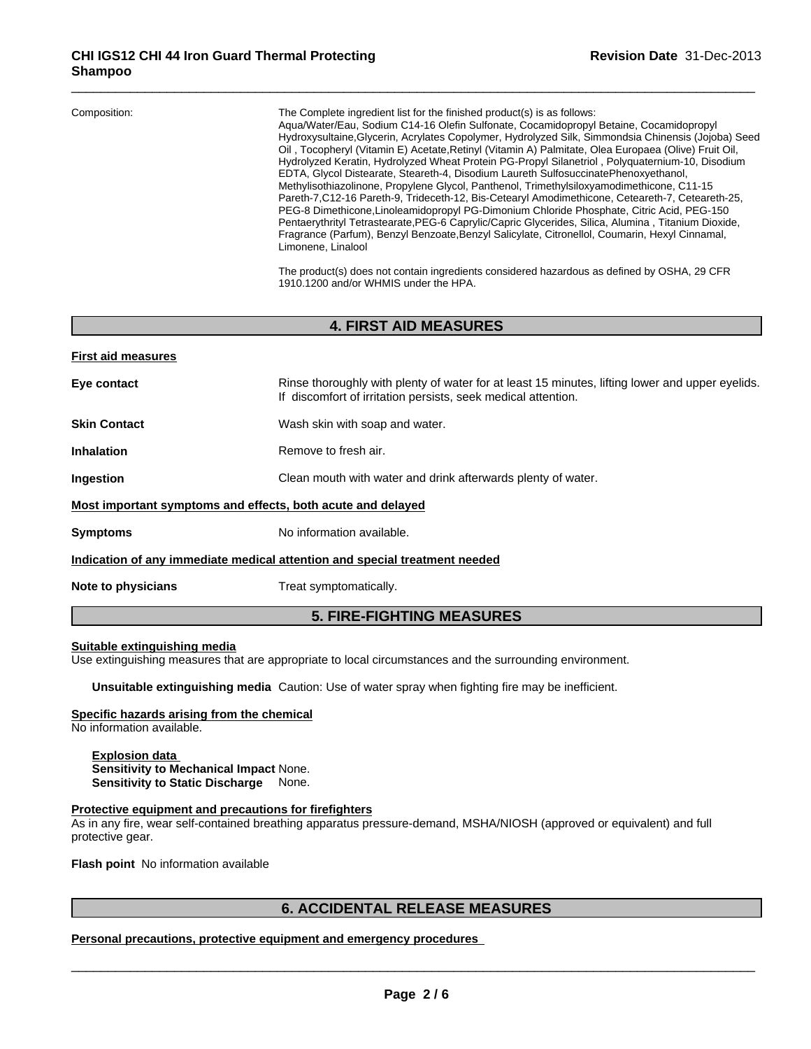| Composition:<br>The Complete ingredient list for the finished product(s) is as follows:<br>Aqua/Water/Eau, Sodium C14-16 Olefin Sulfonate, Cocamidopropyl Betaine, Cocamidopropyl<br>Hydroxysultaine, Glycerin, Acrylates Copolymer, Hydrolyzed Silk, Simmondsia Chinensis (Jojoba) Seed<br>Oil, Tocopheryl (Vitamin E) Acetate, Retinyl (Vitamin A) Palmitate, Olea Europaea (Olive) Fruit Oil,<br>Hydrolyzed Keratin, Hydrolyzed Wheat Protein PG-Propyl Silanetriol, Polyguaternium-10, Disodium<br>EDTA, Glycol Distearate, Steareth-4, Disodium Laureth SulfosuccinatePhenoxyethanol,<br>Methylisothiazolinone, Propylene Glycol, Panthenol, Trimethylsiloxyamodimethicone, C11-15<br>Pareth-7, C12-16 Pareth-9, Trideceth-12, Bis-Cetearyl Amodimethicone, Ceteareth-7, Ceteareth-25,<br>PEG-8 Dimethicone, Linoleamidopropyl PG-Dimonium Chloride Phosphate, Citric Acid, PEG-150<br>Pentaerythrityl Tetrastearate, PEG-6 Caprylic/Capric Glycerides, Silica, Alumina, Titanium Dioxide,<br>Fragrance (Parfum), Benzyl Benzoate, Benzyl Salicylate, Citronellol, Coumarin, Hexyl Cinnamal,<br>Limonene, Linalool |  |
|-------------------------------------------------------------------------------------------------------------------------------------------------------------------------------------------------------------------------------------------------------------------------------------------------------------------------------------------------------------------------------------------------------------------------------------------------------------------------------------------------------------------------------------------------------------------------------------------------------------------------------------------------------------------------------------------------------------------------------------------------------------------------------------------------------------------------------------------------------------------------------------------------------------------------------------------------------------------------------------------------------------------------------------------------------------------------------------------------------------------------|--|
|-------------------------------------------------------------------------------------------------------------------------------------------------------------------------------------------------------------------------------------------------------------------------------------------------------------------------------------------------------------------------------------------------------------------------------------------------------------------------------------------------------------------------------------------------------------------------------------------------------------------------------------------------------------------------------------------------------------------------------------------------------------------------------------------------------------------------------------------------------------------------------------------------------------------------------------------------------------------------------------------------------------------------------------------------------------------------------------------------------------------------|--|

The product(s) does not contain ingredients considered hazardous as defined by OSHA, 29 CFR 1910.1200 and/or WHMIS under the HPA.

# **4. FIRST AID MEASURES**

| <b>First aid measures</b>                                   |                                                                                                                                                                  |
|-------------------------------------------------------------|------------------------------------------------------------------------------------------------------------------------------------------------------------------|
| Eye contact                                                 | Rinse thoroughly with plenty of water for at least 15 minutes, lifting lower and upper eyelids.<br>If discomfort of irritation persists, seek medical attention. |
| <b>Skin Contact</b>                                         | Wash skin with soap and water.                                                                                                                                   |
| <b>Inhalation</b>                                           | Remove to fresh air.                                                                                                                                             |
| Ingestion                                                   | Clean mouth with water and drink afterwards plenty of water.                                                                                                     |
| Most important symptoms and effects, both acute and delayed |                                                                                                                                                                  |
| <b>Symptoms</b>                                             | No information available.                                                                                                                                        |
|                                                             | Indication of any immediate medical attention and special treatment needed                                                                                       |
| Note to physicians                                          | Treat symptomatically.                                                                                                                                           |
|                                                             |                                                                                                                                                                  |

# **5. FIRE-FIGHTING MEASURES**

# **Suitable extinguishing media**

Use extinguishing measures that are appropriate to local circumstances and the surrounding environment.

**Unsuitable extinguishing media** Caution: Use of water spray when fighting fire may be inefficient.

# **Specific hazards arising from the chemical**

No information available.

**Explosion data Sensitivity to Mechanical Impact** None. **Sensitivity to Static Discharge** None.

# **Protective equipment and precautions for firefighters**

As in any fire, wear self-contained breathing apparatus pressure-demand, MSHA/NIOSH (approved or equivalent) and full protective gear.

**Flash point** No information available

\_\_\_\_\_\_\_\_\_\_\_\_\_\_\_\_\_\_\_\_\_\_\_\_\_\_\_\_\_\_\_\_\_\_\_\_\_\_\_\_\_\_\_\_\_\_\_\_\_\_\_\_\_\_\_\_\_\_\_\_\_\_\_\_\_\_\_\_\_\_\_\_\_\_\_\_\_\_\_\_\_\_\_\_\_\_\_\_\_\_\_\_\_ **6. ACCIDENTAL RELEASE MEASURES Personal precautions, protective equipment and emergency procedures**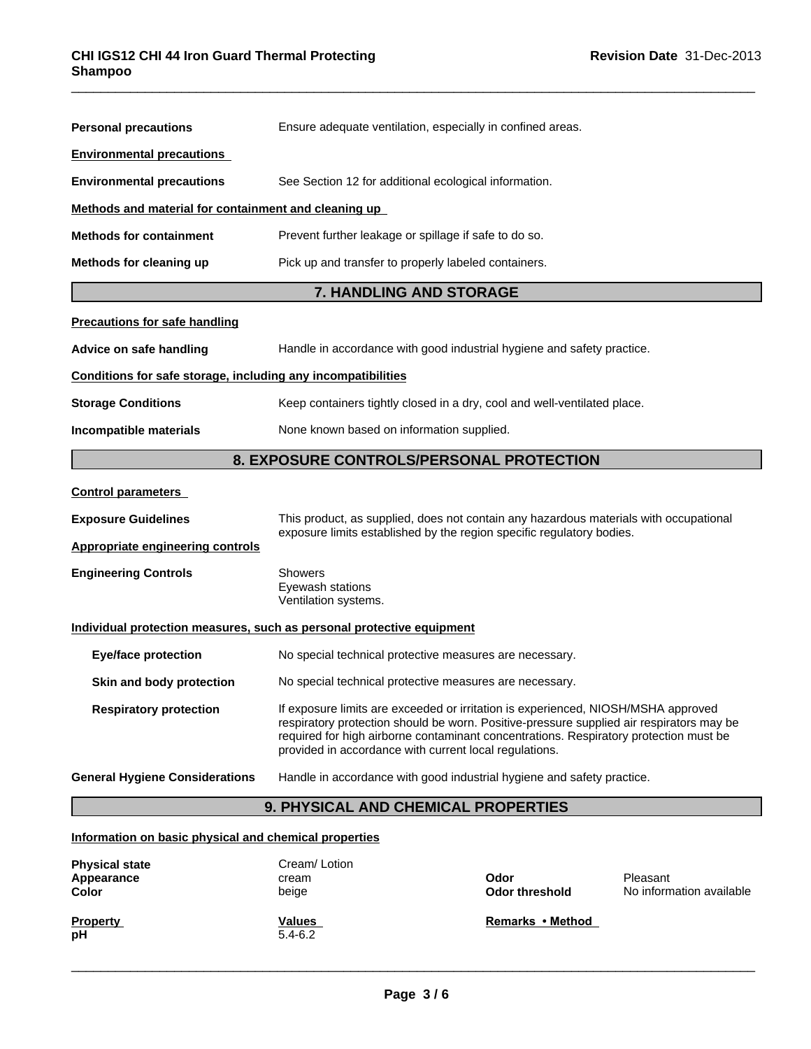| <b>Personal precautions</b>                                  | Ensure adequate ventilation, especially in confined areas.                                                                                                                                                                                                                                                                       |  |  |  |
|--------------------------------------------------------------|----------------------------------------------------------------------------------------------------------------------------------------------------------------------------------------------------------------------------------------------------------------------------------------------------------------------------------|--|--|--|
| <b>Environmental precautions</b>                             |                                                                                                                                                                                                                                                                                                                                  |  |  |  |
| <b>Environmental precautions</b>                             | See Section 12 for additional ecological information.                                                                                                                                                                                                                                                                            |  |  |  |
| Methods and material for containment and cleaning up         |                                                                                                                                                                                                                                                                                                                                  |  |  |  |
| <b>Methods for containment</b>                               | Prevent further leakage or spillage if safe to do so.                                                                                                                                                                                                                                                                            |  |  |  |
| Methods for cleaning up                                      | Pick up and transfer to properly labeled containers.                                                                                                                                                                                                                                                                             |  |  |  |
|                                                              | <b>7. HANDLING AND STORAGE</b>                                                                                                                                                                                                                                                                                                   |  |  |  |
| <b>Precautions for safe handling</b>                         |                                                                                                                                                                                                                                                                                                                                  |  |  |  |
| Advice on safe handling                                      | Handle in accordance with good industrial hygiene and safety practice.                                                                                                                                                                                                                                                           |  |  |  |
| Conditions for safe storage, including any incompatibilities |                                                                                                                                                                                                                                                                                                                                  |  |  |  |
| <b>Storage Conditions</b>                                    | Keep containers tightly closed in a dry, cool and well-ventilated place.                                                                                                                                                                                                                                                         |  |  |  |
| Incompatible materials                                       | None known based on information supplied.                                                                                                                                                                                                                                                                                        |  |  |  |
|                                                              | 8. EXPOSURE CONTROLS/PERSONAL PROTECTION                                                                                                                                                                                                                                                                                         |  |  |  |
| <b>Control parameters</b>                                    |                                                                                                                                                                                                                                                                                                                                  |  |  |  |
| <b>Exposure Guidelines</b>                                   | This product, as supplied, does not contain any hazardous materials with occupational                                                                                                                                                                                                                                            |  |  |  |
| <b>Appropriate engineering controls</b>                      | exposure limits established by the region specific regulatory bodies.                                                                                                                                                                                                                                                            |  |  |  |
| <b>Engineering Controls</b>                                  | Showers<br>Eyewash stations<br>Ventilation systems.                                                                                                                                                                                                                                                                              |  |  |  |
|                                                              | Individual protection measures, such as personal protective equipment                                                                                                                                                                                                                                                            |  |  |  |
| <b>Eye/face protection</b>                                   | No special technical protective measures are necessary.                                                                                                                                                                                                                                                                          |  |  |  |
| Skin and body protection                                     | No special technical protective measures are necessary.                                                                                                                                                                                                                                                                          |  |  |  |
| <b>Respiratory protection</b>                                | If exposure limits are exceeded or irritation is experienced, NIOSH/MSHA approved<br>respiratory protection should be worn. Positive-pressure supplied air respirators may be<br>required for high airborne contaminant concentrations. Respiratory protection must be<br>provided in accordance with current local regulations. |  |  |  |
| <b>General Hygiene Considerations</b>                        | Handle in accordance with good industrial hygiene and safety practice.                                                                                                                                                                                                                                                           |  |  |  |
|                                                              | 9. PHYSICAL AND CHEMICAL PROPERTIES                                                                                                                                                                                                                                                                                              |  |  |  |
| Information on basic physical and chemical properties        |                                                                                                                                                                                                                                                                                                                                  |  |  |  |
| Dhusiael atata                                               | Cron/Li                                                                                                                                                                                                                                                                                                                          |  |  |  |

| <b>Physical state</b> | Cream/Lotion  |                                            |  |
|-----------------------|---------------|--------------------------------------------|--|
| Appearance            | cream         | Odor<br>Pleasant                           |  |
| Color                 | beige         | No information available<br>Odor threshold |  |
|                       |               |                                            |  |
| <b>Property</b>       | <b>Values</b> | Remarks • Method                           |  |
| рH                    | $5.4 - 6.2$   |                                            |  |
|                       |               |                                            |  |
|                       |               |                                            |  |
|                       |               |                                            |  |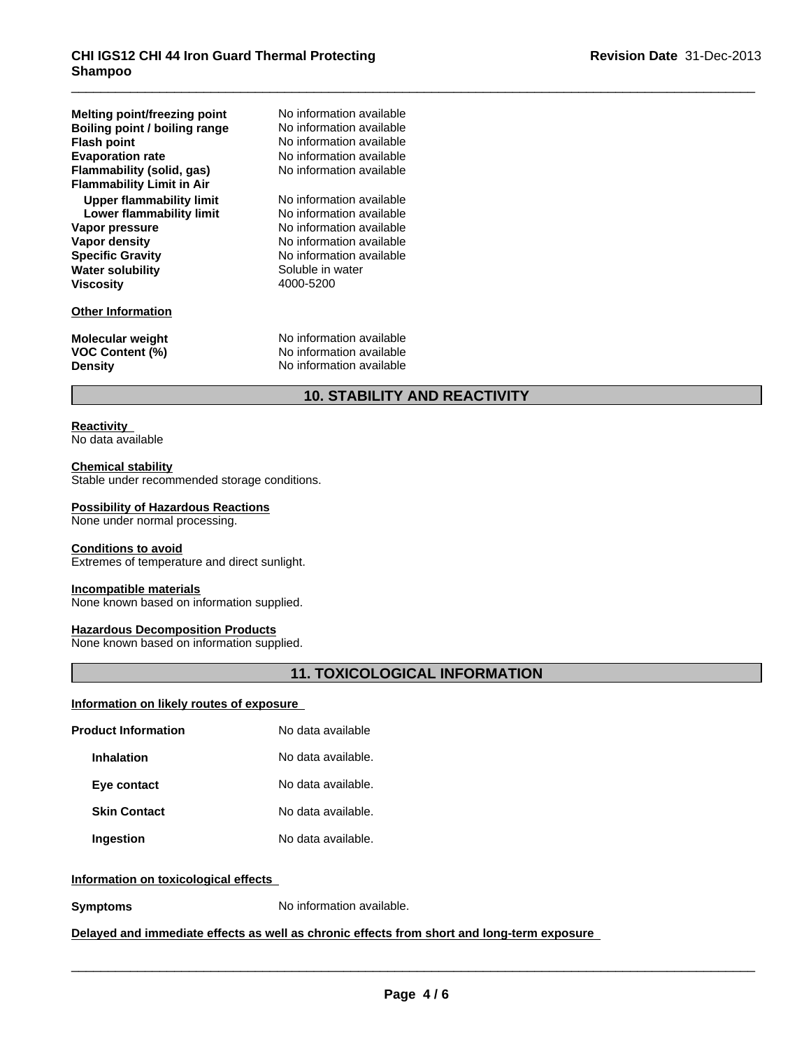| Melting point/freezing point<br>Boiling point / boiling range<br><b>Flash point</b><br><b>Evaporation rate</b><br>Flammability (solid, gas)<br><b>Flammability Limit in Air</b> | No information available<br>No information available<br>No information available<br>No information available<br>No information available                                  |
|---------------------------------------------------------------------------------------------------------------------------------------------------------------------------------|---------------------------------------------------------------------------------------------------------------------------------------------------------------------------|
| Upper flammability limit<br>Lower flammability limit<br>Vapor pressure<br>Vapor density<br><b>Specific Gravity</b><br><b>Water solubility</b><br><b>Viscosity</b>               | No information available<br>No information available<br>No information available<br>No information available<br>No information available<br>Soluble in water<br>4000-5200 |
| <b>Other Information</b><br><b>Molecular weight</b><br><b>VOC Content (%)</b><br><b>Density</b>                                                                                 | No information available<br>No information available<br>No information available                                                                                          |
|                                                                                                                                                                                 |                                                                                                                                                                           |

# **10. STABILITY AND REACTIVITY**

### **Reactivity**  No data available

# **Chemical stability**

Stable under recommended storage conditions.

## **Possibility of Hazardous Reactions**

None under normal processing.

# **Conditions to avoid**

Extremes of temperature and direct sunlight.

# **Incompatible materials**

None known based on information supplied.

# **Hazardous Decomposition Products**

None known based on information supplied.

# **11. TOXICOLOGICAL INFORMATION**

# **Information on likely routes of exposure**

| <b>Product Information</b> | No data available  |  |
|----------------------------|--------------------|--|
| Inhalation                 | No data available. |  |
| Eye contact                | No data available. |  |
| <b>Skin Contact</b>        | No data available. |  |
| Ingestion                  | No data available. |  |

# **Information on toxicological effects**

**Symptoms** No information available.

# **Delayed and immediate effects as well as chronic effects from short and long-term exposure**

 $\overline{\phantom{a}}$  ,  $\overline{\phantom{a}}$  ,  $\overline{\phantom{a}}$  ,  $\overline{\phantom{a}}$  ,  $\overline{\phantom{a}}$  ,  $\overline{\phantom{a}}$  ,  $\overline{\phantom{a}}$  ,  $\overline{\phantom{a}}$  ,  $\overline{\phantom{a}}$  ,  $\overline{\phantom{a}}$  ,  $\overline{\phantom{a}}$  ,  $\overline{\phantom{a}}$  ,  $\overline{\phantom{a}}$  ,  $\overline{\phantom{a}}$  ,  $\overline{\phantom{a}}$  ,  $\overline{\phantom{a}}$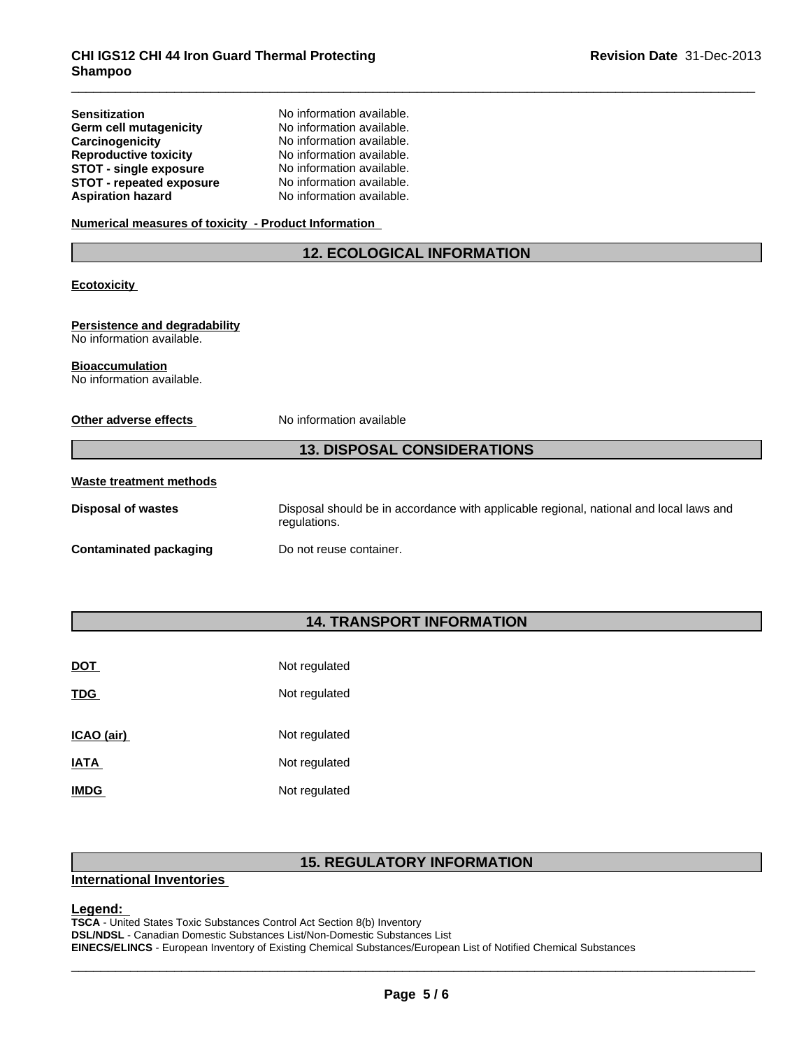**Sensitization** No information available.

| Germ cell mutagenicity                                            | No information available.                                                                              |  |  |  |
|-------------------------------------------------------------------|--------------------------------------------------------------------------------------------------------|--|--|--|
| Carcinogenicity                                                   | No information available.                                                                              |  |  |  |
| <b>Reproductive toxicity</b>                                      | No information available.                                                                              |  |  |  |
| <b>STOT - single exposure</b>                                     | No information available.                                                                              |  |  |  |
| <b>STOT - repeated exposure</b>                                   | No information available.                                                                              |  |  |  |
| <b>Aspiration hazard</b>                                          | No information available.                                                                              |  |  |  |
| Numerical measures of toxicity - Product Information              |                                                                                                        |  |  |  |
|                                                                   | <b>12. ECOLOGICAL INFORMATION</b>                                                                      |  |  |  |
| <b>Ecotoxicity</b>                                                |                                                                                                        |  |  |  |
| <b>Persistence and degradability</b><br>No information available. |                                                                                                        |  |  |  |
| <b>Bioaccumulation</b><br>No information available.               |                                                                                                        |  |  |  |
| Other adverse effects                                             | No information available                                                                               |  |  |  |
|                                                                   | <b>13. DISPOSAL CONSIDERATIONS</b>                                                                     |  |  |  |
| <b>Waste treatment methods</b>                                    |                                                                                                        |  |  |  |
| <b>Disposal of wastes</b>                                         | Disposal should be in accordance with applicable regional, national and local laws and<br>regulations. |  |  |  |
| <b>Contaminated packaging</b>                                     | Do not reuse container.                                                                                |  |  |  |
|                                                                   |                                                                                                        |  |  |  |

# **14. TRANSPORT INFORMATION**

| <b>DOT</b>  | Not regulated |
|-------------|---------------|
| <b>TDG</b>  | Not regulated |
| ICAO (air)  | Not regulated |
| <b>IATA</b> | Not regulated |
| <b>IMDG</b> | Not regulated |

# **15. REGULATORY INFORMATION**

# **International Inventories**

**Legend:**<br>TSCA - United States Toxic Substances Control Act Section 8(b) Inventory<br>DSL/NDSL - Canadian Domestic Substances List/Non-Domestic Substances List<br>EINECS/ELINCS - European Inventory of Existing Chemical Substance **TSCA** - United States Toxic Substances Control Act Section 8(b) Inventory **DSL/NDSL** - Canadian Domestic Substances List/Non-Domestic Substances List **EINECS/ELINCS** - European Inventory of Existing Chemical Substances/European List of Notified Chemical Substances